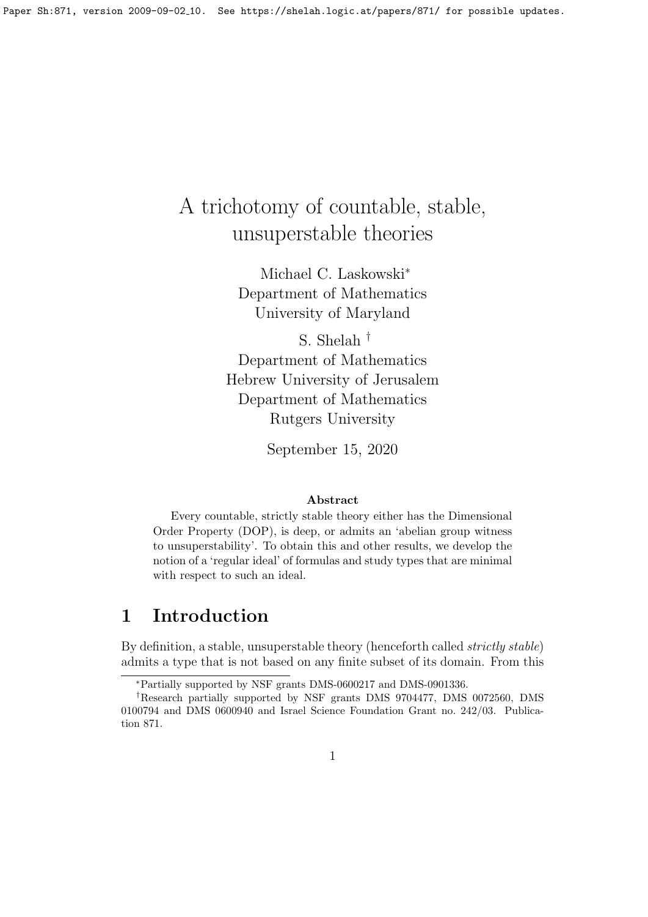# A trichotomy of countable, stable, unsuperstable theories

Michael C. Laskowski<sup>∗</sup> Department of Mathematics University of Maryland

S. Shelah † Department of Mathematics Hebrew University of Jerusalem Department of Mathematics Rutgers University

September 15, 2020

#### Abstract

Every countable, strictly stable theory either has the Dimensional Order Property (DOP), is deep, or admits an 'abelian group witness to unsuperstability'. To obtain this and other results, we develop the notion of a 'regular ideal' of formulas and study types that are minimal with respect to such an ideal.

# 1 Introduction

By definition, a stable, unsuperstable theory (henceforth called *strictly stable*) admits a type that is not based on any finite subset of its domain. From this

<sup>∗</sup>Partially supported by NSF grants DMS-0600217 and DMS-0901336.

<sup>†</sup>Research partially supported by NSF grants DMS 9704477, DMS 0072560, DMS 0100794 and DMS 0600940 and Israel Science Foundation Grant no. 242/03. Publication 871.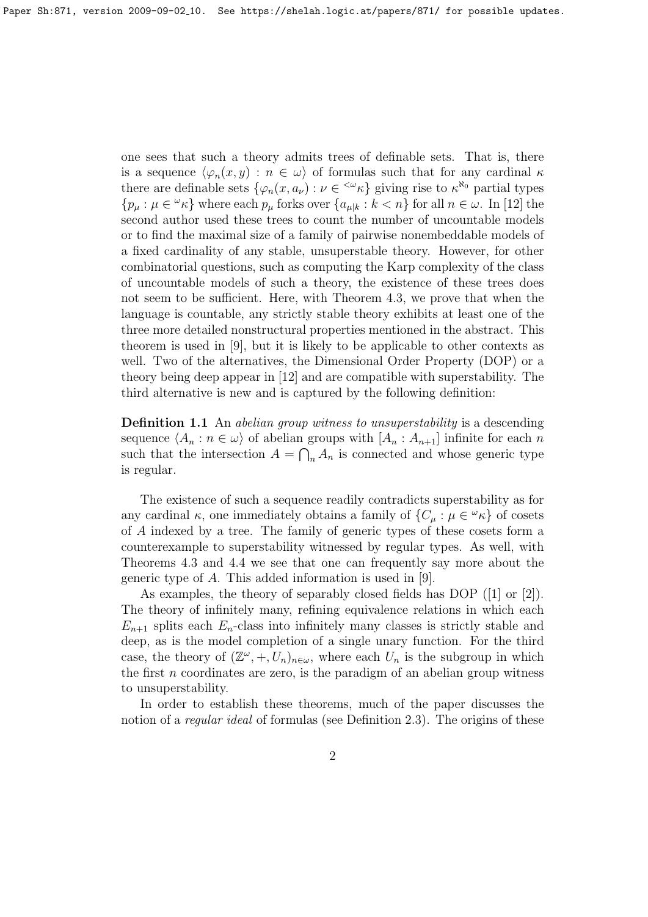one sees that such a theory admits trees of definable sets. That is, there is a sequence  $\langle \varphi_n(x, y) : n \in \omega \rangle$  of formulas such that for any cardinal  $\kappa$ there are definable sets  $\{\varphi_n(x, a_\nu) : \nu \in \{^\infty \kappa\} \text{ giving rise to } \kappa^{\aleph_0} \text{ partial types}$  $\{p_\mu : \mu \in \mathcal{L}_k\}$  where each  $p_\mu$  forks over  $\{a_{\mu|k} : k < n\}$  for all  $n \in \omega$ . In [12] the second author used these trees to count the number of uncountable models or to find the maximal size of a family of pairwise nonembeddable models of a fixed cardinality of any stable, unsuperstable theory. However, for other combinatorial questions, such as computing the Karp complexity of the class of uncountable models of such a theory, the existence of these trees does not seem to be sufficient. Here, with Theorem 4.3, we prove that when the language is countable, any strictly stable theory exhibits at least one of the three more detailed nonstructural properties mentioned in the abstract. This theorem is used in [9], but it is likely to be applicable to other contexts as well. Two of the alternatives, the Dimensional Order Property (DOP) or a theory being deep appear in [12] and are compatible with superstability. The third alternative is new and is captured by the following definition:

**Definition 1.1** An *abelian group witness to unsuperstability* is a descending sequence  $\langle A_n : n \in \omega \rangle$  of abelian groups with  $[A_n : A_{n+1}]$  infinite for each n such that the intersection  $A = \bigcap_n A_n$  is connected and whose generic type is regular.

The existence of such a sequence readily contradicts superstability as for any cardinal  $\kappa$ , one immediately obtains a family of  $\{C_{\mu} : \mu \in \mathcal{L}\kappa\}$  of cosets of A indexed by a tree. The family of generic types of these cosets form a counterexample to superstability witnessed by regular types. As well, with Theorems 4.3 and 4.4 we see that one can frequently say more about the generic type of A. This added information is used in [9].

As examples, the theory of separably closed fields has DOP ([1] or [2]). The theory of infinitely many, refining equivalence relations in which each  $E_{n+1}$  splits each  $E_n$ -class into infinitely many classes is strictly stable and deep, as is the model completion of a single unary function. For the third case, the theory of  $(\mathbb{Z}^{\omega},+,U_n)_{n\in\omega}$ , where each  $U_n$  is the subgroup in which the first  $n$  coordinates are zero, is the paradigm of an abelian group witness to unsuperstability.

In order to establish these theorems, much of the paper discusses the notion of a *regular ideal* of formulas (see Definition 2.3). The origins of these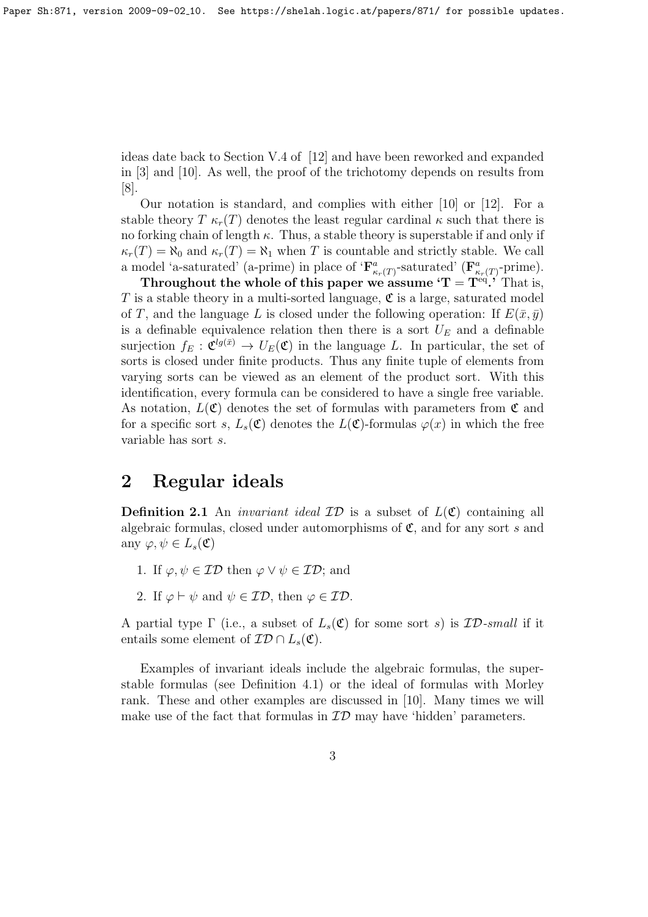ideas date back to Section V.4 of [12] and have been reworked and expanded in [3] and [10]. As well, the proof of the trichotomy depends on results from [8].

Our notation is standard, and complies with either [10] or [12]. For a stable theory T  $\kappa_r(T)$  denotes the least regular cardinal  $\kappa$  such that there is no forking chain of length  $\kappa$ . Thus, a stable theory is superstable if and only if  $\kappa_r(T) = \aleph_0$  and  $\kappa_r(T) = \aleph_1$  when T is countable and strictly stable. We call a model 'a-saturated' (a-prime) in place of ' $\mathbf{F}^a_{\kappa_r(T)}$ -saturated' ( $\mathbf{F}^a_{\kappa_r(T)}$ -prime).

Throughout the whole of this paper we assume  $T = T<sup>eq</sup>$ . That is, T is a stable theory in a multi-sorted language,  $\mathfrak{C}$  is a large, saturated model of T, and the language L is closed under the following operation: If  $E(\bar{x}, \bar{y})$ is a definable equivalence relation then there is a sort  $U_E$  and a definable surjection  $f_E: \mathfrak{C}^{lg(\bar{x})} \to U_E(\mathfrak{C})$  in the language L. In particular, the set of sorts is closed under finite products. Thus any finite tuple of elements from varying sorts can be viewed as an element of the product sort. With this identification, every formula can be considered to have a single free variable. As notation,  $L(\mathfrak{C})$  denotes the set of formulas with parameters from  $\mathfrak{C}$  and for a specific sort s,  $L_s(\mathfrak{C})$  denotes the  $L(\mathfrak{C})$ -formulas  $\varphi(x)$  in which the free variable has sort s.

# 2 Regular ideals

**Definition 2.1** An *invariant ideal*  $\mathcal{ID}$  is a subset of  $L(\mathfrak{C})$  containing all algebraic formulas, closed under automorphisms of  $\mathfrak{C}$ , and for any sort s and any  $\varphi, \psi \in L_s(\mathfrak{C})$ 

- 1. If  $\varphi, \psi \in \mathcal{ID}$  then  $\varphi \vee \psi \in \mathcal{ID}$ ; and
- 2. If  $\varphi \vdash \psi$  and  $\psi \in \mathcal{ID}$ , then  $\varphi \in \mathcal{ID}$ .

A partial type  $\Gamma$  (i.e., a subset of  $L_s(\mathfrak{C})$  for some sort s) is  $\mathcal{ID}\text{-small}$  if it entails some element of  $\mathcal{ID} \cap L_s(\mathfrak{C})$ .

Examples of invariant ideals include the algebraic formulas, the superstable formulas (see Definition 4.1) or the ideal of formulas with Morley rank. These and other examples are discussed in [10]. Many times we will make use of the fact that formulas in  $ID$  may have 'hidden' parameters.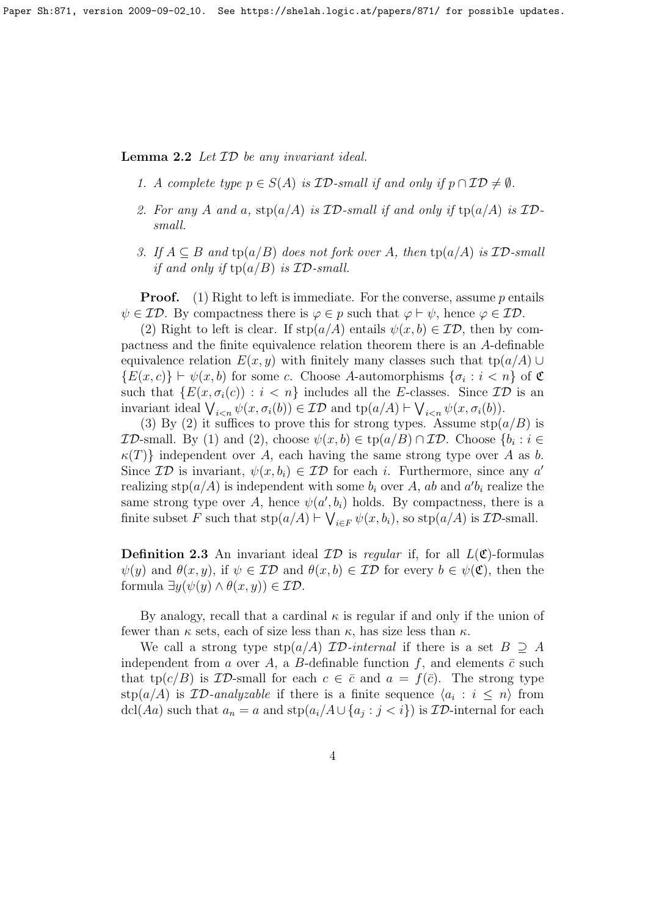**Lemma 2.2** Let  $ID$  be any invariant ideal.

- 1. A complete type  $p \in S(A)$  is  $ID$ -small if and only if  $p \cap \mathcal{ID} \neq \emptyset$ .
- 2. For any A and a,  $\text{stp}(a/A)$  is ID-small if and only if  $\text{tp}(a/A)$  is IDsmall.
- 3. If  $A \subseteq B$  and  $tp(a/B)$  does not fork over A, then  $tp(a/A)$  is  $ID$ -small if and only if  $tp(a/B)$  is  $ID$ -small.

**Proof.** (1) Right to left is immediate. For the converse, assume p entails  $\psi \in \mathcal{ID}$ . By compactness there is  $\varphi \in p$  such that  $\varphi \vdash \psi$ , hence  $\varphi \in \mathcal{ID}$ .

(2) Right to left is clear. If  $\text{stp}(a/A)$  entails  $\psi(x, b) \in \mathcal{ID}$ , then by compactness and the finite equivalence relation theorem there is an A-definable equivalence relation  $E(x, y)$  with finitely many classes such that tp( $a/A$ ) ∪  $\{E(x, c)\}\vdash \psi(x, b)$  for some c. Choose A-automorphisms  $\{\sigma_i : i < n\}$  of  $\mathfrak C$ such that  $\{E(x, \sigma_i(c)) : i < n\}$  includes all the E-classes. Since  $\mathcal{ID}$  is an invariant ideal  $\bigvee_{i\leq n}\psi(x,\sigma_i(b))\in\mathcal{ID}$  and  $tp(a/A)\vdash\bigvee_{i\leq n}\psi(x,\sigma_i(b)).$ 

(3) By (2) it suffices to prove this for strong types. Assume  $\text{stp}(a/B)$  is **ID-small.** By (1) and (2), choose  $\psi(x, b) \in \text{tp}(a/B) \cap \mathcal{ID}$ . Choose  $\{b_i : i \in \mathcal{ID}\}$  $\kappa(T)$  independent over A, each having the same strong type over A as b. Since  $\mathcal{ID}$  is invariant,  $\psi(x, b_i) \in \mathcal{ID}$  for each *i*. Furthermore, since any *a'* realizing  $\text{stp}(a/A)$  is independent with some  $b_i$  over A, ab and  $a'b_i$  realize the same strong type over A, hence  $\psi(a', b_i)$  holds. By compactness, there is a finite subset F such that  $\text{stp}(a/A) \vdash \bigvee_{i \in F} \psi(x, b_i)$ , so  $\text{stp}(a/A)$  is  $\mathcal{ID}\text{-small}$ .

**Definition 2.3** An invariant ideal  $\mathcal{ID}$  is regular if, for all  $L(\mathfrak{C})$ -formulas  $\psi(y)$  and  $\theta(x, y)$ , if  $\psi \in \mathcal{ID}$  and  $\theta(x, b) \in \mathcal{ID}$  for every  $b \in \psi(\mathfrak{C})$ , then the formula  $\exists y(\psi(y) \land \theta(x, y)) \in \mathcal{ID}$ .

By analogy, recall that a cardinal  $\kappa$  is regular if and only if the union of fewer than  $\kappa$  sets, each of size less than  $\kappa$ , has size less than  $\kappa$ .

We call a strong type  $\text{stp}(a/A)$  *ID-internal* if there is a set  $B \supseteq A$ independent from a over A, a B-definable function f, and elements  $\bar{c}$  such that tp( $c/B$ ) is  $\mathcal{ID}$ -small for each  $c \in \bar{c}$  and  $a = f(\bar{c})$ . The strong type  $\text{stp}(a/A)$  is  $\mathcal{ID}\text{-}analyzable$  if there is a finite sequence  $\langle a_i : i \leq n \rangle$  from dcl(Aa) such that  $a_n = a$  and  $\text{stp}(a_i/A \cup \{a_j : j < i\})$  is  $\mathcal{ID}\text{-internal}$  for each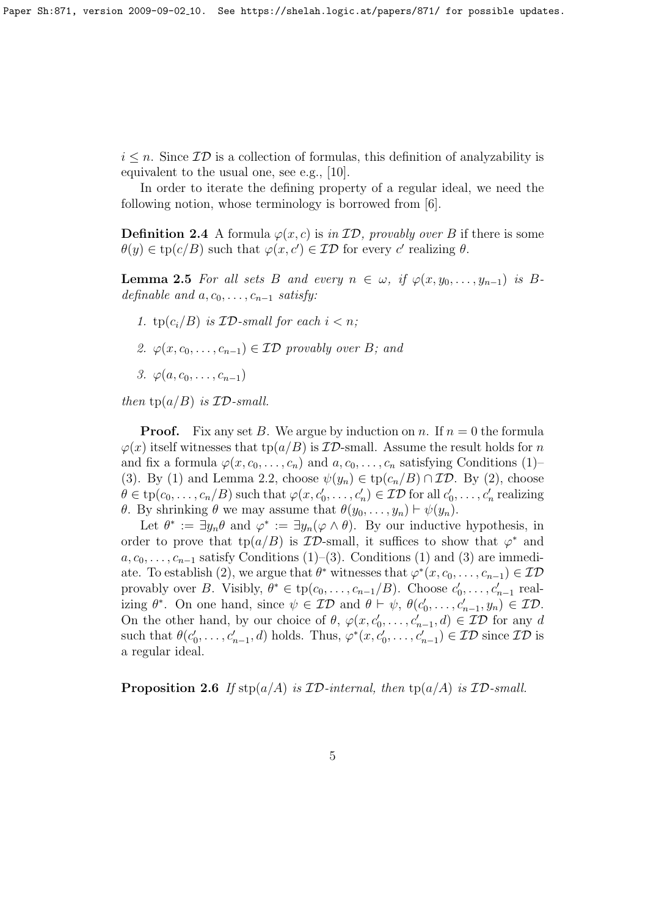$i \leq n$ . Since  $\mathcal{ID}$  is a collection of formulas, this definition of analyzability is equivalent to the usual one, see e.g., [10].

In order to iterate the defining property of a regular ideal, we need the following notion, whose terminology is borrowed from [6].

**Definition 2.4** A formula  $\varphi(x, c)$  is in  $\mathcal{ID}$ , provably over B if there is some  $\theta(y) \in \text{tp}(c/B)$  such that  $\varphi(x, c') \in \mathcal{ID}$  for every c' realizing  $\theta$ .

**Lemma 2.5** For all sets B and every  $n \in \omega$ , if  $\varphi(x, y_0, \ldots, y_{n-1})$  is Bdefinable and  $a, c_0, \ldots, c_{n-1}$  satisfy:

- 1.  $tp(c_i/B)$  is  $ID$ -small for each  $i < n$ ;
- 2.  $\varphi(x, c_0, \ldots, c_{n-1}) \in \mathcal{ID}$  provably over B; and
- 3.  $\varphi(a, c_0, \ldots, c_{n-1})$

then  $tp(a/B)$  is  $ID$ -small.

**Proof.** Fix any set B. We argue by induction on n. If  $n = 0$  the formula  $\varphi(x)$  itself witnesses that tp( $a/B$ ) is *ID*-small. Assume the result holds for n and fix a formula  $\varphi(x, c_0, \ldots, c_n)$  and  $a, c_0, \ldots, c_n$  satisfying Conditions (1)– (3). By (1) and Lemma 2.2, choose  $\psi(y_n) \in \text{tp}(c_n/B) \cap \mathcal{ID}$ . By (2), choose  $\theta \in \text{tp}(c_0, \ldots, c_n/B)$  such that  $\varphi(x, c'_0, \ldots, c'_n) \in \mathcal{ID}$  for all  $c'_0, \ldots, c'_n$  realizing θ. By shrinking θ we may assume that  $\theta(y_0, \ldots, y_n) \vdash \psi(y_n)$ .

Let  $\theta^* := \exists y_n \theta$  and  $\varphi^* := \exists y_n (\varphi \wedge \theta)$ . By our inductive hypothesis, in order to prove that  $tp(a/B)$  is  $ID$ -small, it suffices to show that  $\varphi^*$  and  $a, c_0, \ldots, c_{n-1}$  satisfy Conditions (1)–(3). Conditions (1) and (3) are immediate. To establish (2), we argue that  $\theta^*$  witnesses that  $\varphi^*(x, c_0, \ldots, c_{n-1}) \in \mathcal{ID}$ provably over B. Visibly,  $\theta^* \in \text{tp}(c_0, \ldots, c_{n-1}/B)$ . Choose  $c'_0, \ldots, c'_{n-1}$  realizing  $\theta^*$ . On one hand, since  $\psi \in \mathcal{ID}$  and  $\theta \vdash \psi$ ,  $\theta(c'_0, \ldots, c'_{n-1}, y_n) \in \mathcal{ID}$ . On the other hand, by our choice of  $\theta$ ,  $\varphi(x, c'_0, \ldots, c'_{n-1}, d) \in \mathcal{ID}$  for any d such that  $\theta(c'_0,\ldots,c'_{n-1},d)$  holds. Thus,  $\varphi^*(x,c'_0,\ldots,c'_{n-1}) \in \mathcal{ID}$  since  $\mathcal{ID}$  is a regular ideal.

**Proposition 2.6** If  $\text{stp}(a/A)$  is ID-internal, then  $\text{tp}(a/A)$  is ID-small.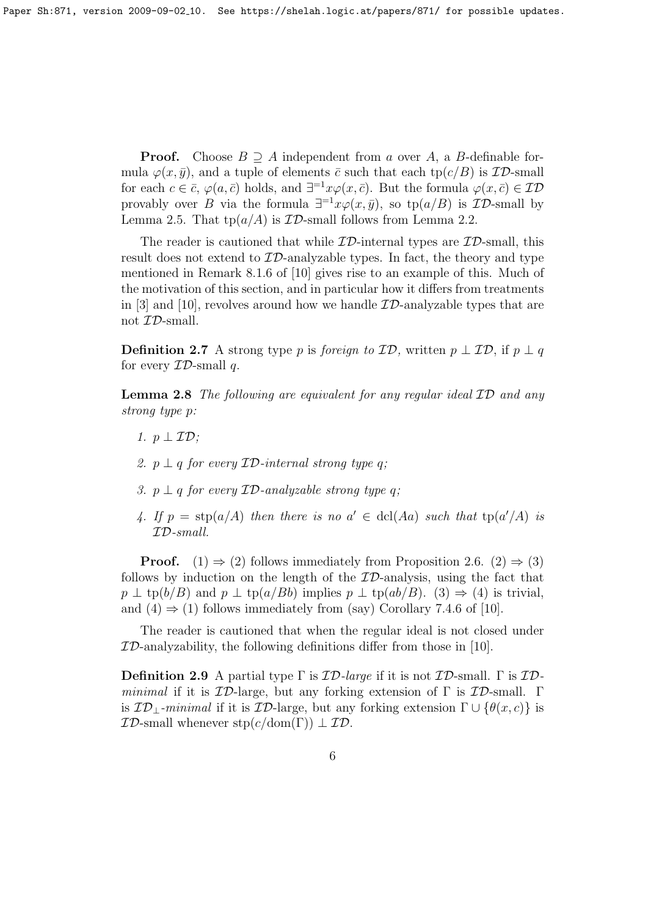**Proof.** Choose  $B \supseteq A$  independent from a over A, a B-definable formula  $\varphi(x, \bar{y})$ , and a tuple of elements  $\bar{c}$  such that each tp( $c/B$ ) is  $\mathcal{ID}$ -small for each  $c \in \bar{c}$ ,  $\varphi(a,\bar{c})$  holds, and  $\exists^{-1}x\varphi(x,\bar{c})$ . But the formula  $\varphi(x,\bar{c}) \in \mathcal{ID}$ provably over B via the formula  $\exists^{-1}x\varphi(x,\bar{y})$ , so tp $(a/B)$  is  $\mathcal{ID}$ -small by Lemma 2.5. That  $tp(a/A)$  is  $ID$ -small follows from Lemma 2.2.

The reader is cautioned that while  $ID$ -internal types are  $ID$ -small, this result does not extend to  $ID$ -analyzable types. In fact, the theory and type mentioned in Remark 8.1.6 of [10] gives rise to an example of this. Much of the motivation of this section, and in particular how it differs from treatments in [3] and [10], revolves around how we handle  $\mathcal{ID}$ -analyzable types that are not ID-small.

**Definition 2.7** A strong type p is foreign to  $\mathcal{ID}$ , written  $p \perp \mathcal{ID}$ , if  $p \perp q$ for every  $ID$ -small q.

**Lemma 2.8** The following are equivalent for any regular ideal  $ID$  and any strong type p:

- 1.  $p \perp \mathcal{ID}$ ;
- 2.  $p \perp q$  for every  $ID$ -internal strong type q;
- 3.  $p \perp q$  for every  $ID$ -analyzable strong type q;
- 4. If  $p = \text{stp}(a/A)$  then there is no  $a' \in \text{dcl}(Aa)$  such that  $\text{tp}(a'/A)$  is ID-small.

**Proof.** (1)  $\Rightarrow$  (2) follows immediately from Proposition 2.6. (2)  $\Rightarrow$  (3) follows by induction on the length of the  $ID$ -analysis, using the fact that  $p \perp \text{tp}(b/B)$  and  $p \perp \text{tp}(a/Bb)$  implies  $p \perp \text{tp}(ab/B)$ . (3)  $\Rightarrow$  (4) is trivial, and  $(4) \Rightarrow (1)$  follows immediately from (say) Corollary 7.4.6 of [10].

The reader is cautioned that when the regular ideal is not closed under  $ID$ -analyzability, the following definitions differ from those in [10].

Definition 2.9 A partial type  $\Gamma$  is  $\mathcal{ID}\text{-}large$  if it is not  $\mathcal{ID}\text{-}small$ .  $\Gamma$  is  $\mathcal{ID}\text{-}$ minimal if it is  $\mathcal{ID}$ -large, but any forking extension of  $\Gamma$  is  $\mathcal{ID}$ -small.  $\Gamma$ is  $\mathcal{ID}_\perp$ -minimal if it is  $\mathcal{ID}$ -large, but any forking extension  $\Gamma \cup \{ \theta(x,c) \}$  is  $\mathcal{ID}$ -small whenever stp( $c/\text{dom}(\Gamma)$ )  $\perp \mathcal{ID}$ .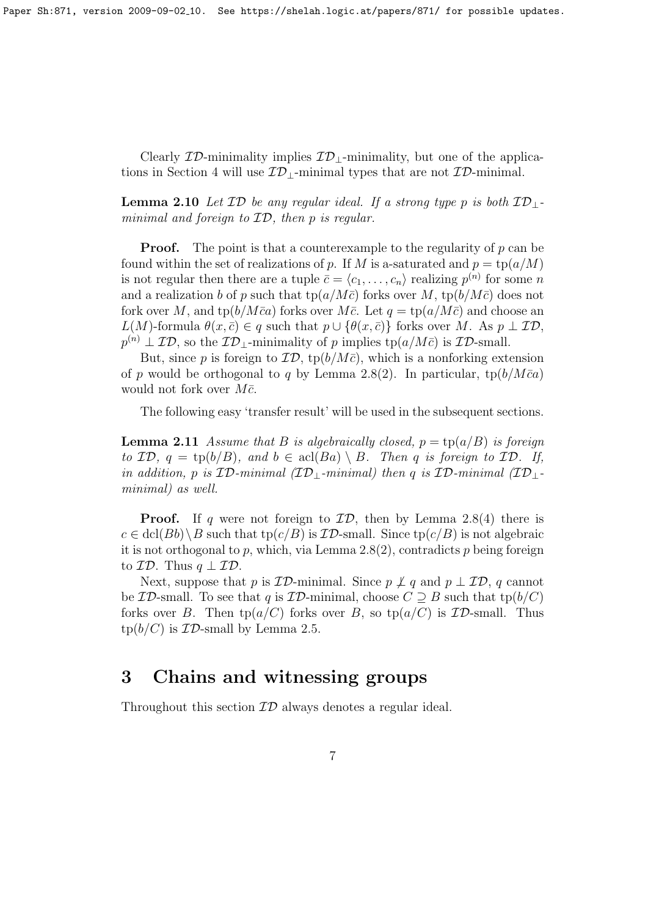Paper Sh:871, version 2009-09-02.10. See https://shelah.logic.at/papers/871/ for possible updates.

Clearly  $\mathcal{ID}$ -minimality implies  $\mathcal{ID}_\perp$ -minimality, but one of the applications in Section 4 will use  $\mathcal{ID}_\perp$ -minimal types that are not  $\mathcal{ID}_\perp$ -minimal.

**Lemma 2.10** Let  $\mathcal{ID}$  be any regular ideal. If a strong type p is both  $\mathcal{ID}$ <sub>1</sub>. minimal and foreign to ID, then p is regular.

**Proof.** The point is that a counterexample to the regularity of  $p$  can be found within the set of realizations of p. If M is a-saturated and  $p = \text{tp}(a/M)$ is not regular then there are a tuple  $\bar{c} = \langle c_1, \ldots, c_n \rangle$  realizing  $p^{(n)}$  for some n and a realization b of p such that  $tp(a/M\bar{c})$  forks over M,  $tp(b/M\bar{c})$  does not fork over M, and tp( $b/M\bar{c}a$ ) forks over M $\bar{c}$ . Let  $q = \text{tp}(a/M\bar{c})$  and choose an  $L(M)$ -formula  $\theta(x,\bar{c}) \in q$  such that  $p \cup {\theta(x,\bar{c})}$  forks over M. As  $p \perp \mathcal{ID}$ ,  $p^{(n)} \perp \mathcal{ID}$ , so the  $\mathcal{ID}_\perp$ -minimality of p implies tp $(a/M\bar{c})$  is  $\mathcal{ID}$ -small.

But, since p is foreign to  $\mathcal{ID}$ , tp( $b/M\bar{c}$ ), which is a nonforking extension of p would be orthogonal to q by Lemma 2.8(2). In particular,  $tp(b/M\bar{c}a)$ would not fork over  $M\bar{c}$ .

The following easy 'transfer result' will be used in the subsequent sections.

**Lemma 2.11** Assume that B is algebraically closed,  $p = \text{tp}(a/B)$  is foreign to  $\mathcal{ID}, q = \text{tp}(b/B),$  and  $b \in \text{acl}(Ba) \setminus B$ . Then q is foreign to  $\mathcal{ID}.$  If, in addition, p is  $\mathcal{ID}\text{-minimal}(\mathcal{ID}\text{-minimal})$  then q is  $\mathcal{ID}\text{-minimal}(\mathcal{ID}\text{-i})$ minimal) as well.

**Proof.** If q were not foreign to  $\mathcal{ID}$ , then by Lemma 2.8(4) there is  $c \in \text{dcl}(Bb) \backslash B$  such that  $\text{tp}(c/B)$  is  $\mathcal{ID}$ -small. Since  $\text{tp}(c/B)$  is not algebraic it is not orthogonal to p, which, via Lemma  $2.8(2)$ , contradicts p being foreign to  $\mathcal{ID}$ . Thus  $q \perp \mathcal{ID}$ .

Next, suppose that p is  $\mathcal{ID}\text{-minimal}$ . Since  $p \not\perp q$  and  $p \perp \mathcal{ID}$ , q cannot be ID-small. To see that q is ID-minimal, choose  $C \supseteq B$  such that tp( $b/C$ ) forks over B. Then  $tp(a/C)$  forks over B, so  $tp(a/C)$  is  $ID$ -small. Thus  $\text{tp}(b/C)$  is  $\mathcal{ID}\text{-small by Lemma 2.5.}$ 

### 3 Chains and witnessing groups

Throughout this section  $ID$  always denotes a regular ideal.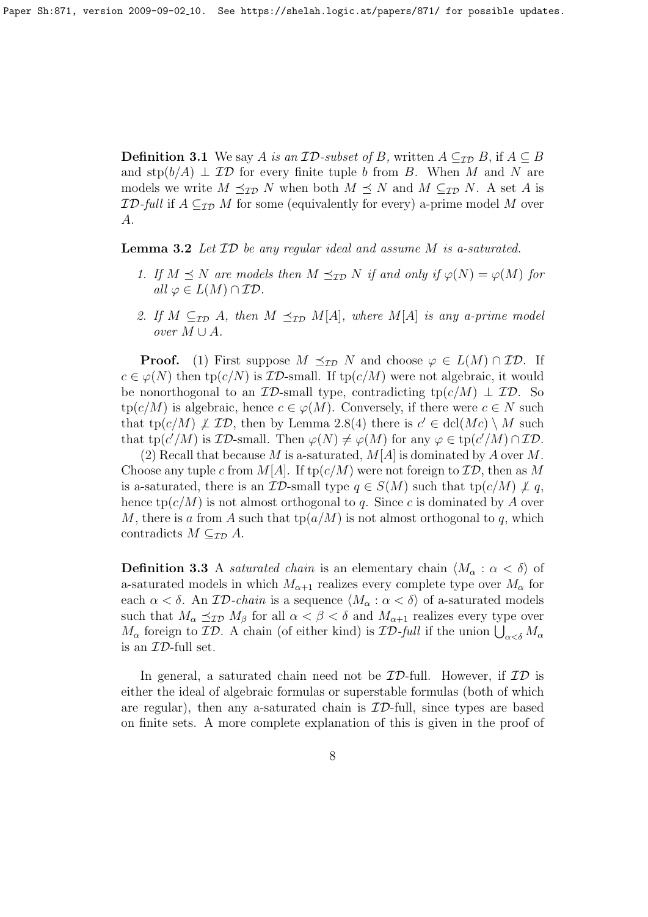**Definition 3.1** We say A is an  $\mathcal{ID}\text{-subset of }B$ , written  $A \subseteq_{\mathcal{ID}} B$ , if  $A \subseteq B$ and  $\text{stp}(b/A) \perp \mathcal{ID}$  for every finite tuple b from B. When M and N are models we write  $M \preceq_{\mathcal{ID}} N$  when both  $M \preceq N$  and  $M \subseteq_{\mathcal{ID}} N$ . A set A is **ID-full if**  $A \subseteq$ **ID** M for some (equivalently for every) a-prime model M over A.

Lemma 3.2 Let  $ID$  be any regular ideal and assume M is a-saturated.

- 1. If  $M \preceq N$  are models then  $M \preceq_{\mathcal{ID}} N$  if and only if  $\varphi(N) = \varphi(M)$  for all  $\varphi \in L(M) \cap \mathcal{ID}.$
- 2. If  $M \subseteq_{\mathcal{ID}} A$ , then  $M \preceq_{\mathcal{ID}} M[A]$ , where  $M[A]$  is any a-prime model *over*  $M ∪ A$ .

**Proof.** (1) First suppose  $M \preceq_{\mathcal{ID}} N$  and choose  $\varphi \in L(M) \cap \mathcal{ID}$ . If  $c \in \varphi(N)$  then tp( $c/N$ ) is *ID*-small. If tp( $c/M$ ) were not algebraic, it would be nonorthogonal to an  $\mathcal{ID}$ -small type, contradicting tp( $c/M$ )  $\perp$   $\mathcal{ID}$ . So  $tp(c/M)$  is algebraic, hence  $c \in \varphi(M)$ . Conversely, if there were  $c \in N$  such that tp( $c/M$ )  $\neq$  ID, then by Lemma 2.8(4) there is  $c' \in \text{dcl}(Mc) \setminus M$  such that tp( $c'/M$ ) is  $\mathcal{ID}$ -small. Then  $\varphi(N) \neq \varphi(M)$  for any  $\varphi \in \text{tp}(c'/M) \cap \mathcal{ID}$ .

(2) Recall that because M is a-saturated,  $M[A]$  is dominated by A over M. Choose any tuple c from  $M[A]$ . If tp( $c/M$ ) were not foreign to  $\mathcal{ID}$ , then as M is a-saturated, there is an  $\mathcal{ID}$ -small type  $q \in S(M)$  such that tp $(c/M) \not\perp q$ , hence  $tp(c/M)$  is not almost orthogonal to q. Since c is dominated by A over M, there is a from A such that  $tp(a/M)$  is not almost orthogonal to q, which contradicts  $M \subseteq_{\mathcal{ID}} A$ .

**Definition 3.3** A *saturated chain* is an elementary chain  $\langle M_{\alpha} : \alpha < \delta \rangle$  of a-saturated models in which  $M_{\alpha+1}$  realizes every complete type over  $M_{\alpha}$  for each  $\alpha < \delta$ . An ID-chain is a sequence  $\langle M_{\alpha} : \alpha < \delta \rangle$  of a-saturated models such that  $M_{\alpha} \preceq_{\mathcal{ID}} M_{\beta}$  for all  $\alpha < \beta < \delta$  and  $M_{\alpha+1}$  realizes every type over  $M_{\alpha}$  foreign to  $\mathcal{ID}$ . A chain (of either kind) is  $\mathcal{ID}\text{-}full$  if the union  $\bigcup_{\alpha<\delta}M_{\alpha}$ is an ID-full set.

In general, a saturated chain need not be  $ID$ -full. However, if  $ID$  is either the ideal of algebraic formulas or superstable formulas (both of which are regular), then any a-saturated chain is  $ID$ -full, since types are based on finite sets. A more complete explanation of this is given in the proof of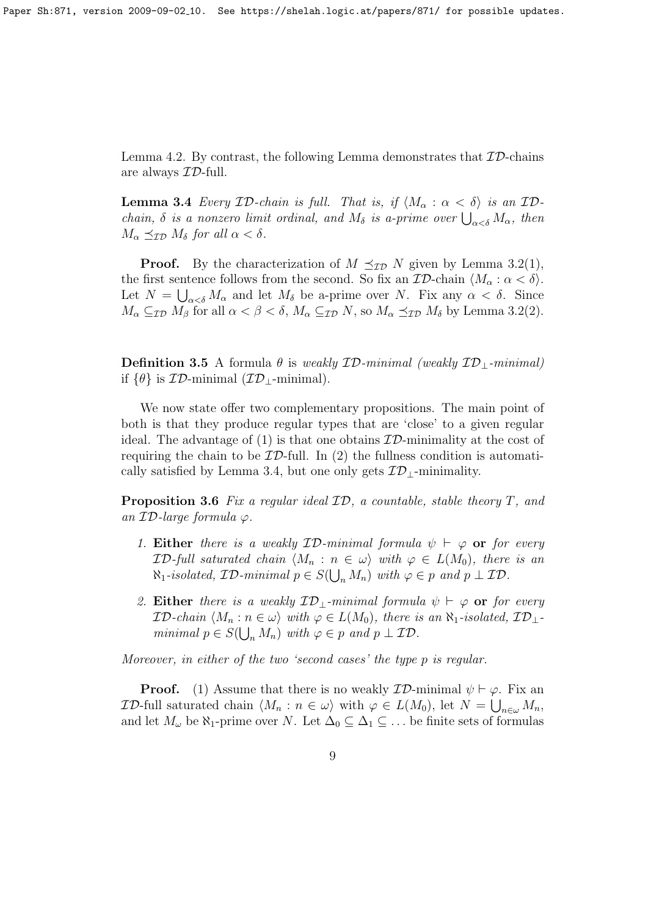Lemma 4.2. By contrast, the following Lemma demonstrates that  $ID$ -chains are always ID-full.

**Lemma 3.4** Every ID-chain is full. That is, if  $\langle M_{\alpha} : \alpha < \delta \rangle$  is an IDchain,  $\delta$  is a nonzero limit ordinal, and  $M_{\delta}$  is a-prime over  $\bigcup_{\alpha<\delta}M_{\alpha}$ , then  $M_{\alpha} \preceq_{\mathcal{ID}} M_{\delta}$  for all  $\alpha < \delta$ .

**Proof.** By the characterization of  $M \preceq_{\mathcal{ID}} N$  given by Lemma 3.2(1), the first sentence follows from the second. So fix an  $\mathcal{ID}\text{-chain }\langle M_{\alpha}:\alpha<\delta\rangle$ . Let  $N = \bigcup_{\alpha < \delta} M_{\alpha}$  and let  $M_{\delta}$  be a-prime over N. Fix any  $\alpha < \delta$ . Since  $M_{\alpha} \subseteq_{\mathcal{ID}} M_{\beta}$  for all  $\alpha < \beta < \delta$ ,  $M_{\alpha} \subseteq_{\mathcal{ID}} N$ , so  $M_{\alpha} \preceq_{\mathcal{ID}} M_{\delta}$  by Lemma 3.2(2).

**Definition 3.5** A formula  $\theta$  is weakly  $\mathcal{ID}\text{-minimal}$  (weakly  $\mathcal{ID}\text{-minimal}$ ) if  $\{\theta\}$  is  $ID$ -minimal  $(\mathcal{ID}_\text{I}-\text{minimal})$ .

We now state offer two complementary propositions. The main point of both is that they produce regular types that are 'close' to a given regular ideal. The advantage of (1) is that one obtains  $\mathcal{ID}$ -minimality at the cost of requiring the chain to be  $ID$ -full. In (2) the fullness condition is automatically satisfied by Lemma 3.4, but one only gets  $\mathcal{ID}_{\perp}$ -minimality.

**Proposition 3.6** Fix a regular ideal  $ID$ , a countable, stable theory T, and an  $ID$ -large formula  $\varphi$ .

- 1. Either there is a weakly  $ID\text{-}minimal$  formula  $\psi \vdash \varphi$  or for every  $\mathcal{ID}\text{-full saturated chain }\langle M_n : n \in \omega \rangle$  with  $\varphi \in L(M_0)$ , there is an  $\aleph_1$ -isolated,  $\mathcal{ID}\text{-minimal }p \in S(\bigcup_n M_n)$  with  $\varphi \in p$  and  $p \perp \mathcal{ID}$ .
- 2. Either there is a weakly  $\mathcal{ID}_{\perp}$ -minimal formula  $\psi \vdash \varphi$  or for every  $\mathcal{ID}\text{-}chain \langle M_n : n \in \omega \rangle$  with  $\varphi \in L(M_0)$ , there is an  $\aleph_1$ -isolated,  $\mathcal{ID}_\perp$ minimal  $p \in S(\bigcup_n M_n)$  with  $\varphi \in p$  and  $p \perp \mathcal{ID}$ .

Moreover, in either of the two 'second cases' the type p is regular.

**Proof.** (1) Assume that there is no weakly  $\mathcal{ID}$ -minimal  $\psi \vdash \varphi$ . Fix an *ID*-full saturated chain  $\langle M_n : n \in \omega \rangle$  with  $\varphi \in L(M_0)$ , let  $N = \bigcup_{n \in \omega} M_n$ , and let  $M_\omega$  be  $\aleph_1$ -prime over N. Let  $\Delta_0 \subseteq \Delta_1 \subseteq \ldots$  be finite sets of formulas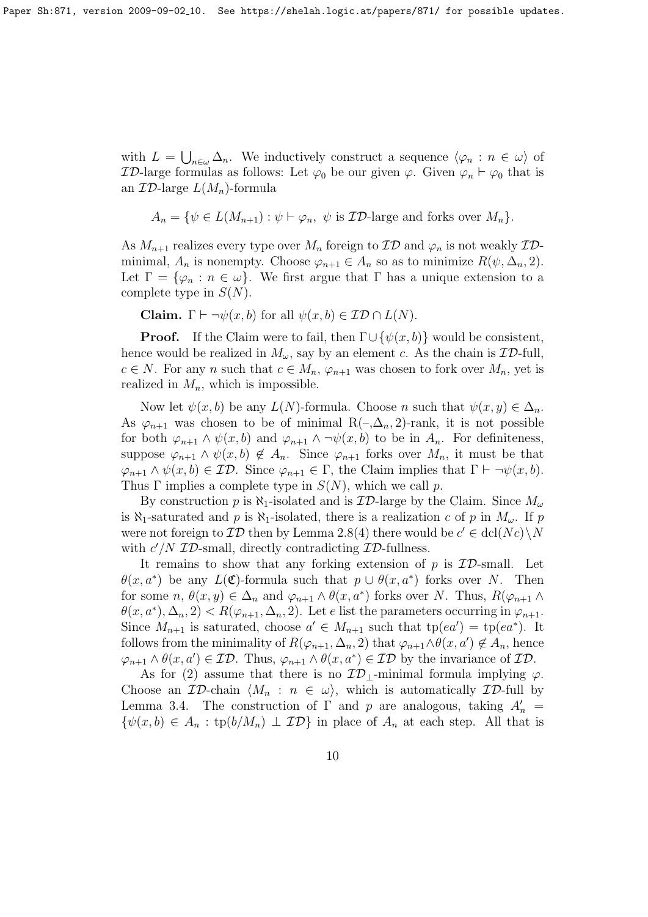with  $L = \bigcup_{n \in \omega} \Delta_n$ . We inductively construct a sequence  $\langle \varphi_n : n \in \omega \rangle$  of **ID-large formulas as follows:** Let  $\varphi_0$  be our given  $\varphi$ . Given  $\varphi_n \vdash \varphi_0$  that is an  $\mathcal{ID}\text{-large }L(M_n)\text{-formula}$ 

$$
A_n = \{ \psi \in L(M_{n+1}) : \psi \vdash \varphi_n, \psi \text{ is } \mathcal{ID}\text{-large and forks over } M_n \}.
$$

As  $M_{n+1}$  realizes every type over  $M_n$  foreign to  $\mathcal{ID}$  and  $\varphi_n$  is not weakly  $\mathcal{ID}$ minimal,  $A_n$  is nonempty. Choose  $\varphi_{n+1} \in A_n$  so as to minimize  $R(\psi, \Delta_n, 2)$ . Let  $\Gamma = {\varphi_n : n \in \omega}$ . We first argue that  $\Gamma$  has a unique extension to a complete type in  $S(N)$ .

Claim.  $\Gamma \vdash \neg \psi(x, b)$  for all  $\psi(x, b) \in \mathcal{ID} \cap L(N)$ .

**Proof.** If the Claim were to fail, then  $\Gamma \cup {\psi(x, b)}$  would be consistent, hence would be realized in  $M_{\omega}$ , say by an element c. As the chain is  $\mathcal{ID}\text{-full}$ ,  $c \in N$ . For any n such that  $c \in M_n$ ,  $\varphi_{n+1}$  was chosen to fork over  $M_n$ , yet is realized in  $M_n$ , which is impossible.

Now let  $\psi(x, b)$  be any  $L(N)$ -formula. Choose n such that  $\psi(x, y) \in \Delta_n$ . As  $\varphi_{n+1}$  was chosen to be of minimal R(-, $\Delta_n$ , 2)-rank, it is not possible for both  $\varphi_{n+1} \wedge \psi(x, b)$  and  $\varphi_{n+1} \wedge \neg \psi(x, b)$  to be in  $A_n$ . For definiteness, suppose  $\varphi_{n+1} \wedge \psi(x, b) \notin A_n$ . Since  $\varphi_{n+1}$  forks over  $M_n$ , it must be that  $\varphi_{n+1} \wedge \psi(x, b) \in \mathcal{ID}.$  Since  $\varphi_{n+1} \in \Gamma$ , the Claim implies that  $\Gamma \vdash \neg \psi(x, b)$ . Thus  $\Gamma$  implies a complete type in  $S(N)$ , which we call p.

By construction p is  $\aleph_1$ -isolated and is  $\mathcal{ID}$ -large by the Claim. Since  $M_\omega$ is  $\aleph_1$ -saturated and p is  $\aleph_1$ -isolated, there is a realization c of p in  $M_\omega$ . If p were not foreign to  $\mathcal{ID}$  then by Lemma 2.8(4) there would be  $c' \in \text{dcl}(Nc) \backslash N$ with  $c'/N$  *ID*-small, directly contradicting *ID*-fullness.

It remains to show that any forking extension of  $p$  is  $ID$ -small. Let  $\theta(x, a^*)$  be any  $L(\mathfrak{C})$ -formula such that  $p \cup \theta(x, a^*)$  forks over N. Then for some  $n, \theta(x, y) \in \Delta_n$  and  $\varphi_{n+1} \wedge \theta(x, a^*)$  forks over N. Thus,  $R(\varphi_{n+1} \wedge \theta(x, a^*))$  $\theta(x, a^*), \Delta_n, 2) < R(\varphi_{n+1}, \Delta_n, 2)$ . Let e list the parameters occurring in  $\varphi_{n+1}$ . Since  $M_{n+1}$  is saturated, choose  $a' \in M_{n+1}$  such that  $tp(ea') = tp(ea^*)$ . It follows from the minimality of  $R(\varphi_{n+1}, \Delta_n, 2)$  that  $\varphi_{n+1} \wedge \theta(x, a') \notin A_n$ , hence  $\varphi_{n+1} \wedge \theta(x, a') \in \mathcal{ID}$ . Thus,  $\varphi_{n+1} \wedge \theta(x, a^*) \in \mathcal{ID}$  by the invariance of  $\mathcal{ID}$ .

As for (2) assume that there is no  $\mathcal{ID}_\perp$ -minimal formula implying  $\varphi$ . Choose an ID-chain  $\langle M_n : n \in \omega \rangle$ , which is automatically ID-full by Lemma 3.4. The construction of  $\Gamma$  and  $p$  are analogous, taking  $A'_n =$  $\{\psi(x, b) \in A_n : \text{tp}(b/M_n) \perp \mathcal{ID}\}\$ in place of  $A_n$  at each step. All that is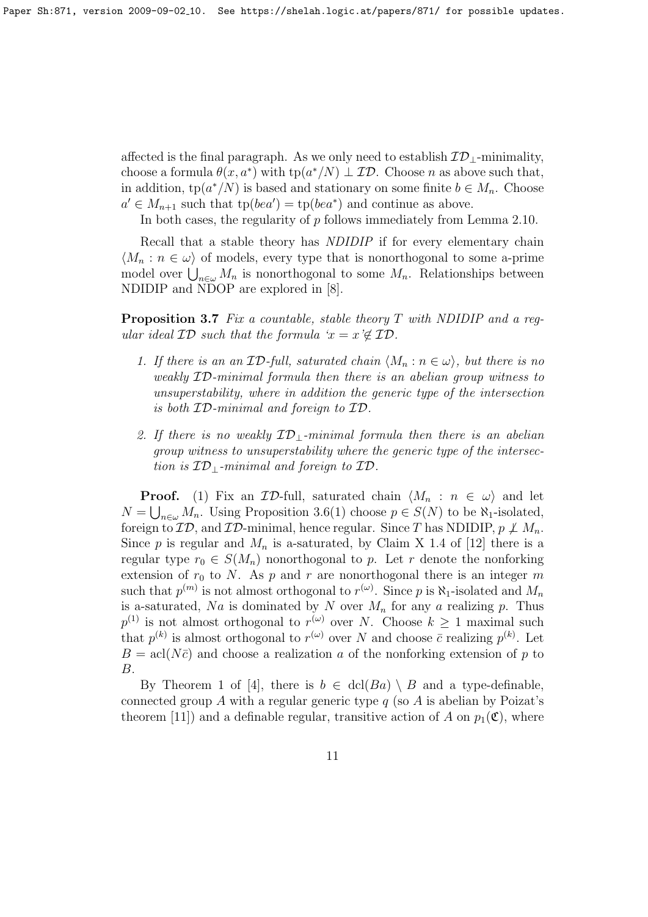affected is the final paragraph. As we only need to establish  $\mathcal{ID}_{\perp}$ -minimality, choose a formula  $\theta(x, a^*)$  with  $tp(a^*/N) \perp \mathcal{ID}$ . Choose *n* as above such that, in addition,  $tp(a^*/N)$  is based and stationary on some finite  $b \in M_n$ . Choose  $a' \in M_{n+1}$  such that  $tp(bea') = tp(bea^*)$  and continue as above.

In both cases, the regularity of p follows immediately from Lemma 2.10.

Recall that a stable theory has *NDIDIP* if for every elementary chain  $\langle M_n : n \in \omega \rangle$  of models, every type that is nonorthogonal to some a-prime model over  $\bigcup_{n\in\omega}M_n$  is nonorthogonal to some  $M_n$ . Relationships between NDIDIP and NDOP are explored in [8].

**Proposition 3.7** Fix a countable, stable theory  $T$  with NDIDIP and a regular ideal  $\mathcal{ID}$  such that the formula ' $x = x \notin \mathcal{ID}$ .

- 1. If there is an an  $ID$ -full, saturated chain  $\langle M_n : n \in \omega \rangle$ , but there is no weakly ID-minimal formula then there is an abelian group witness to unsuperstability, where in addition the generic type of the intersection is both ID-minimal and foreign to ID.
- 2. If there is no weakly  $ID_1$ -minimal formula then there is an abelian group witness to unsuperstability where the generic type of the intersection is  $ID_{\perp}$ -minimal and foreign to  $ID$ .

**Proof.** (1) Fix an  $\mathcal{ID}\text{-full}$ , saturated chain  $\langle M_n : n \in \omega \rangle$  and let  $N = \bigcup_{n \in \omega} M_n$ . Using Proposition 3.6(1) choose  $p \in S(N)$  to be  $\aleph_1$ -isolated, foreign to  $\mathcal{ID}$ , and  $\mathcal{ID}\text{-minimal}$ , hence regular. Since T has NDIDIP,  $p \not\perp M_n$ . Since p is regular and  $M_n$  is a-saturated, by Claim X 1.4 of [12] there is a regular type  $r_0 \in S(M_n)$  nonorthogonal to p. Let r denote the nonforking extension of  $r_0$  to N. As p and r are nonorthogonal there is an integer m such that  $p^{(m)}$  is not almost orthogonal to  $r^{(\omega)}$ . Since p is  $\aleph_1$ -isolated and  $M_n$ is a-saturated, Na is dominated by N over  $M_n$  for any a realizing p. Thus  $p^{(1)}$  is not almost orthogonal to  $r^{(\omega)}$  over N. Choose  $k \geq 1$  maximal such that  $p^{(k)}$  is almost orthogonal to  $r^{(\omega)}$  over N and choose  $\bar{c}$  realizing  $p^{(k)}$ . Let  $B = \text{acl}(N\bar{c})$  and choose a realization a of the nonforking extension of p to B.

By Theorem 1 of [4], there is  $b \in \text{dcl}(Ba) \setminus B$  and a type-definable, connected group A with a regular generic type  $q$  (so A is abelian by Poizat's theorem [11]) and a definable regular, transitive action of A on  $p_1(\mathfrak{C})$ , where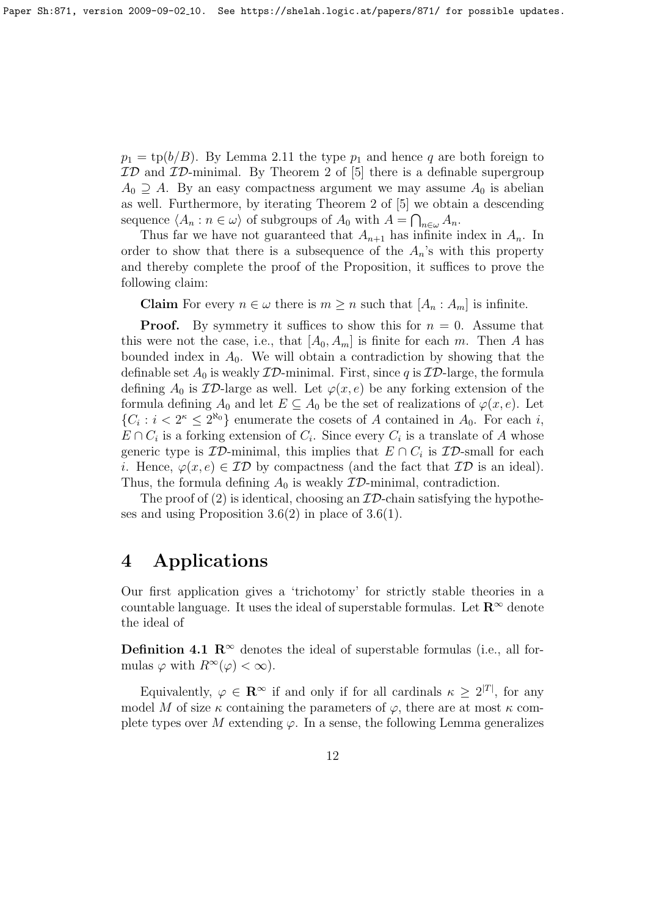$p_1 = \text{tp}(b/B)$ . By Lemma 2.11 the type  $p_1$  and hence q are both foreign to  $ID$  and  $ID$ -minimal. By Theorem 2 of [5] there is a definable supergroup  $A_0 \supseteq A$ . By an easy compactness argument we may assume  $A_0$  is abelian as well. Furthermore, by iterating Theorem 2 of [5] we obtain a descending sequence  $\langle A_n : n \in \omega \rangle$  of subgroups of  $A_0$  with  $A = \bigcap_{n \in \omega} A_n$ .

Thus far we have not guaranteed that  $A_{n+1}$  has infinite index in  $A_n$ . In order to show that there is a subsequence of the  $A_n$ 's with this property and thereby complete the proof of the Proposition, it suffices to prove the following claim:

**Claim** For every  $n \in \omega$  there is  $m \geq n$  such that  $[A_n : A_m]$  is infinite.

**Proof.** By symmetry it suffices to show this for  $n = 0$ . Assume that this were not the case, i.e., that  $[A_0, A_m]$  is finite for each m. Then A has bounded index in  $A_0$ . We will obtain a contradiction by showing that the definable set  $A_0$  is weakly  $ID$ -minimal. First, since q is  $ID$ -large, the formula defining  $A_0$  is  $\mathcal{ID}$ -large as well. Let  $\varphi(x, e)$  be any forking extension of the formula defining  $A_0$  and let  $E \subseteq A_0$  be the set of realizations of  $\varphi(x, e)$ . Let  $\{C_i : i < 2^{\kappa} \leq 2^{\kappa_0}\}\$ enumerate the cosets of A contained in  $A_0$ . For each i,  $E \cap C_i$  is a forking extension of  $C_i$ . Since every  $C_i$  is a translate of A whose generic type is  $ID$ -minimal, this implies that  $E \cap C_i$  is  $ID$ -small for each i. Hence,  $\varphi(x, e) \in \mathcal{ID}$  by compactness (and the fact that  $\mathcal{ID}$  is an ideal). Thus, the formula defining  $A_0$  is weakly  $\mathcal{ID}\text{-minimal}$ , contradiction.

The proof of (2) is identical, choosing an  $ID$ -chain satisfying the hypotheses and using Proposition  $3.6(2)$  in place of  $3.6(1)$ .

### 4 Applications

Our first application gives a 'trichotomy' for strictly stable theories in a countable language. It uses the ideal of superstable formulas. Let  $\mathbb{R}^{\infty}$  denote the ideal of

Definition 4.1  $\mathbb{R}^{\infty}$  denotes the ideal of superstable formulas (i.e., all formulas  $\varphi$  with  $R^{\infty}(\varphi) < \infty$ ).

Equivalently,  $\varphi \in \mathbf{R}^{\infty}$  if and only if for all cardinals  $\kappa \geq 2^{|T|}$ , for any model M of size  $\kappa$  containing the parameters of  $\varphi$ , there are at most  $\kappa$  complete types over M extending  $\varphi$ . In a sense, the following Lemma generalizes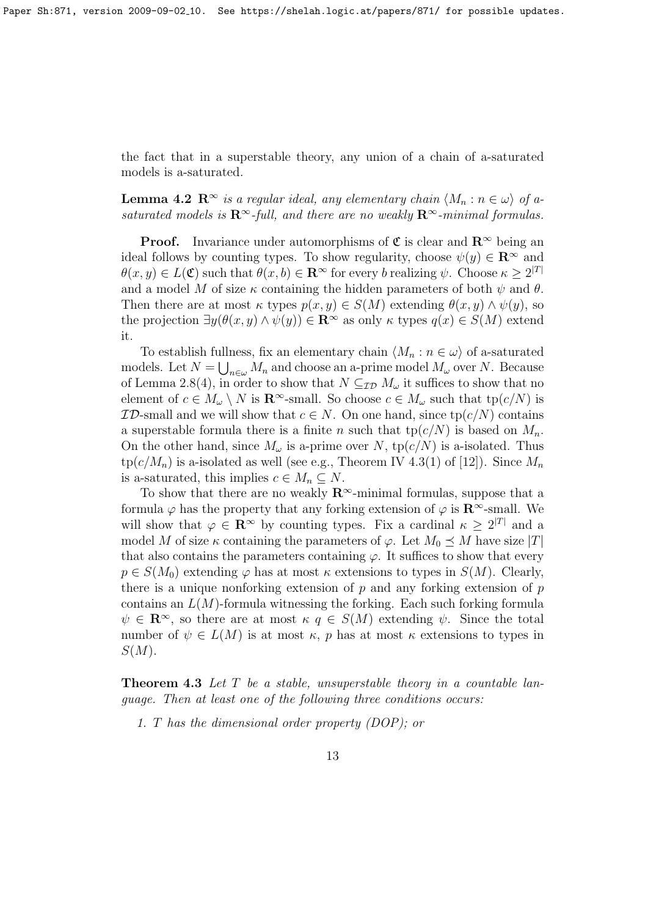the fact that in a superstable theory, any union of a chain of a-saturated models is a-saturated.

**Lemma 4.2**  $\mathbb{R}^{\infty}$  is a regular ideal, any elementary chain  $\langle M_n : n \in \omega \rangle$  of asaturated models is  $\mathbb{R}^{\infty}$ -full, and there are no weakly  $\mathbb{R}^{\infty}$ -minimal formulas.

**Proof.** Invariance under automorphisms of  $\mathfrak{C}$  is clear and  $\mathbb{R}^{\infty}$  being an ideal follows by counting types. To show regularity, choose  $\psi(y) \in \mathbb{R}^{\infty}$  and  $\theta(x, y) \in L(\mathfrak{C})$  such that  $\theta(x, b) \in \mathbb{R}^{\infty}$  for every b realizing  $\psi$ . Choose  $\kappa \geq 2^{|T|}$ and a model M of size  $\kappa$  containing the hidden parameters of both  $\psi$  and  $\theta$ . Then there are at most  $\kappa$  types  $p(x, y) \in S(M)$  extending  $\theta(x, y) \wedge \psi(y)$ , so the projection  $\exists y(\theta(x, y) \land \psi(y)) \in \mathbb{R}^{\infty}$  as only  $\kappa$  types  $q(x) \in S(M)$  extend it.

To establish fullness, fix an elementary chain  $\langle M_n : n \in \omega \rangle$  of a-saturated models. Let  $N = \bigcup_{n \in \omega} M_n$  and choose an a-prime model  $M_{\omega}$  over N. Because of Lemma 2.8(4), in order to show that  $N \subseteq_{\mathcal{ID}} M_{\omega}$  it suffices to show that no element of  $c \in M_\omega \setminus N$  is  $\mathbb{R}^\infty$ -small. So choose  $c \in M_\omega$  such that  $tp(c/N)$  is **ID-small and we will show that**  $c \in N$ . On one hand, since  $tp(c/N)$  contains a superstable formula there is a finite n such that  $tp(c/N)$  is based on  $M_n$ . On the other hand, since  $M_{\omega}$  is a-prime over N, tp( $c/N$ ) is a-isolated. Thus  $tp(c/M_n)$  is a-isolated as well (see e.g., Theorem IV 4.3(1) of [12]). Since  $M_n$ is a-saturated, this implies  $c \in M_n \subseteq N$ .

To show that there are no weakly  $\mathbb{R}^{\infty}$ -minimal formulas, suppose that a formula  $\varphi$  has the property that any forking extension of  $\varphi$  is  $\mathbb{R}^{\infty}$ -small. We will show that  $\varphi \in \mathbb{R}^{\infty}$  by counting types. Fix a cardinal  $\kappa \geq 2^{|T|}$  and a model M of size  $\kappa$  containing the parameters of  $\varphi$ . Let  $M_0 \preceq M$  have size |T| that also contains the parameters containing  $\varphi$ . It suffices to show that every  $p \in S(M_0)$  extending  $\varphi$  has at most  $\kappa$  extensions to types in  $S(M)$ . Clearly, there is a unique nonforking extension of  $p$  and any forking extension of  $p$ contains an  $L(M)$ -formula witnessing the forking. Each such forking formula  $\psi \in \mathbb{R}^{\infty}$ , so there are at most  $\kappa q \in S(M)$  extending  $\psi$ . Since the total number of  $\psi \in L(M)$  is at most  $\kappa$ , p has at most  $\kappa$  extensions to types in  $S(M).$ 

**Theorem 4.3** Let  $T$  be a stable, unsuperstable theory in a countable language. Then at least one of the following three conditions occurs:

1. T has the dimensional order property (DOP); or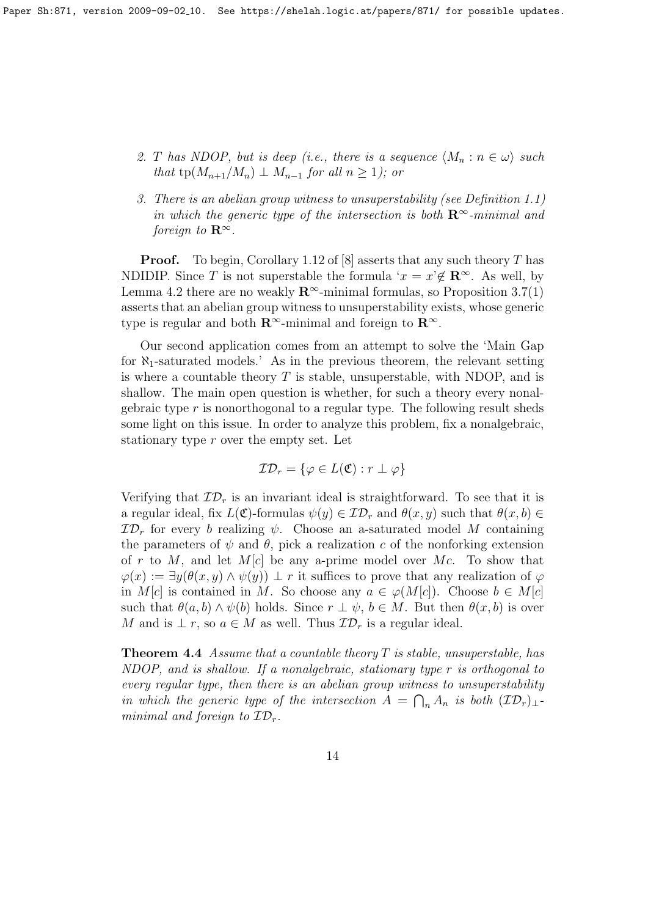- 2. T has NDOP, but is deep (i.e., there is a sequence  $\langle M_n : n \in \omega \rangle$  such that tp( $M_{n+1}/M_n$ )  $\perp M_{n-1}$  for all  $n \geq 1$ ); or
- 3. There is an abelian group witness to unsuperstability (see Definition 1.1) in which the generic type of the intersection is both  $\mathbb{R}^{\infty}$ -minimal and foreign to  $\mathbf{R}^{\infty}$ .

**Proof.** To begin, Corollary 1.12 of [8] asserts that any such theory T has NDIDIP. Since T is not superstable the formula ' $x = x \notin \mathbb{R}^{\infty}$ . As well, by Lemma 4.2 there are no weakly  $\mathbb{R}^{\infty}$ -minimal formulas, so Proposition 3.7(1) asserts that an abelian group witness to unsuperstability exists, whose generic type is regular and both  $\mathbb{R}^{\infty}$ -minimal and foreign to  $\mathbb{R}^{\infty}$ .

Our second application comes from an attempt to solve the 'Main Gap for  $\aleph_1$ -saturated models.' As in the previous theorem, the relevant setting is where a countable theory  $T$  is stable, unsuperstable, with NDOP, and is shallow. The main open question is whether, for such a theory every nonalgebraic type  $r$  is nonorthogonal to a regular type. The following result sheds some light on this issue. In order to analyze this problem, fix a nonalgebraic, stationary type r over the empty set. Let

$$
\mathcal{ID}_r = \{ \varphi \in L(\mathfrak{C}) : r \perp \varphi \}
$$

Verifying that  $\mathcal{ID}_r$  is an invariant ideal is straightforward. To see that it is a regular ideal, fix  $L(\mathfrak{C})$ -formulas  $\psi(y) \in \mathcal{ID}_r$  and  $\theta(x, y)$  such that  $\theta(x, b) \in$  $\mathcal{ID}_r$  for every b realizing  $\psi$ . Choose an a-saturated model M containing the parameters of  $\psi$  and  $\theta$ , pick a realization c of the nonforking extension of r to M, and let  $M[c]$  be any a-prime model over Mc. To show that  $\varphi(x) := \exists y(\theta(x, y) \wedge \psi(y)) \perp r$  it suffices to prove that any realization of  $\varphi$ in M[c] is contained in M. So choose any  $a \in \varphi(M[c])$ . Choose  $b \in M[c]$ such that  $\theta(a, b) \wedge \psi(b)$  holds. Since  $r \perp \psi$ ,  $b \in M$ . But then  $\theta(x, b)$  is over M and is  $\perp r$ , so  $a \in M$  as well. Thus  $\mathcal{ID}_r$  is a regular ideal.

**Theorem 4.4** Assume that a countable theory T is stable, unsuperstable, has NDOP, and is shallow. If a nonalgebraic, stationary type r is orthogonal to every regular type, then there is an abelian group witness to unsuperstability in which the generic type of the intersection  $A = \bigcap_n A_n$  is both  $(\mathcal{ID}_r)_\perp$ . minimal and foreign to  $\mathcal{ID}_r$ .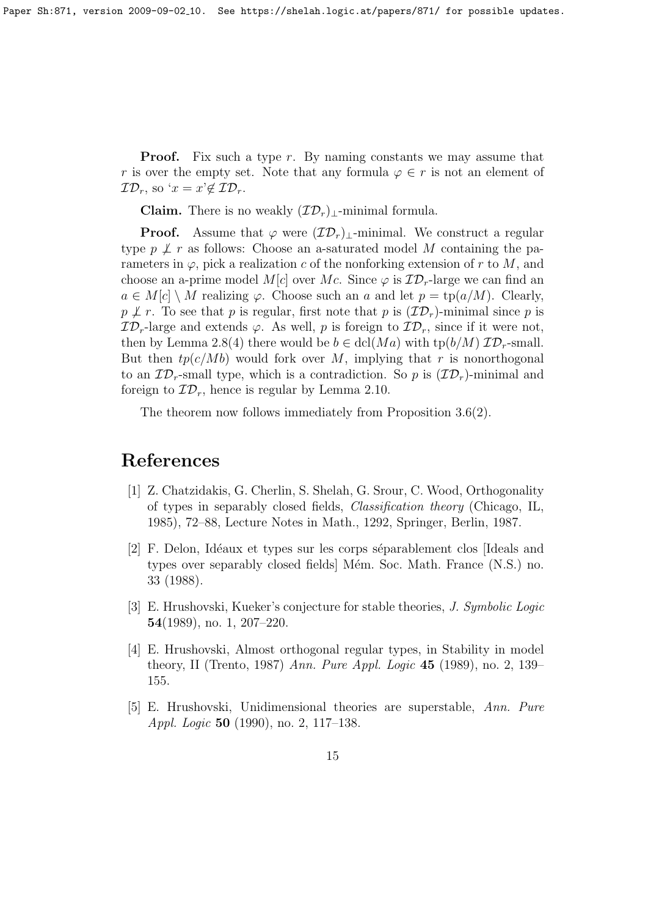Paper Sh:871, version 2009-09-02<sub>-</sub>10. See https://shelah.logic.at/papers/871/ for possible updates.

**Proof.** Fix such a type  $r$ . By naming constants we may assume that r is over the empty set. Note that any formula  $\varphi \in r$  is not an element of  $\mathcal{ID}_r$ , so ' $x = x \notin \mathcal{ID}_r$ .

Claim. There is no weakly  $(\mathcal{ID}_r)_{\perp}$ -minimal formula.

**Proof.** Assume that  $\varphi$  were  $(\mathcal{ID}_r)$ <sub>⊥</sub>-minimal. We construct a regular type  $p \not\perp r$  as follows: Choose an a-saturated model M containing the parameters in  $\varphi$ , pick a realization c of the nonforking extension of r to M, and choose an a-prime model M[c] over Mc. Since  $\varphi$  is  $\mathcal{ID}_r$ -large we can find an  $a \in M[c] \setminus M$  realizing  $\varphi$ . Choose such an a and let  $p = \text{tp}(a/M)$ . Clearly,  $p \not\perp r$ . To see that p is regular, first note that p is  $(\mathcal{ID}_r)$ -minimal since p is  $\mathcal{ID}_r$ -large and extends  $\varphi$ . As well, p is foreign to  $\mathcal{ID}_r$ , since if it were not, then by Lemma 2.8(4) there would be  $b \in \text{dcl}(Ma)$  with  $\text{tp}(b/M)$   $\mathcal{ID}_r$ -small. But then  $tp(c/Mb)$  would fork over M, implying that r is nonorthogonal to an  $\mathcal{ID}_r$ -small type, which is a contradiction. So p is  $(\mathcal{ID}_r)$ -minimal and foreign to  $\mathcal{ID}_r$ , hence is regular by Lemma 2.10.

The theorem now follows immediately from Proposition 3.6(2).

## References

- [1] Z. Chatzidakis, G. Cherlin, S. Shelah, G. Srour, C. Wood, Orthogonality of types in separably closed fields, Classification theory (Chicago, IL, 1985), 72–88, Lecture Notes in Math., 1292, Springer, Berlin, 1987.
- [2] F. Delon, Idéaux et types sur les corps séparablement clos [Ideals and types over separably closed fields Mém. Soc. Math. France (N.S.) no. 33 (1988).
- [3] E. Hrushovski, Kueker's conjecture for stable theories, J. Symbolic Logic 54(1989), no. 1, 207–220.
- [4] E. Hrushovski, Almost orthogonal regular types, in Stability in model theory, II (Trento, 1987) Ann. Pure Appl. Logic 45 (1989), no. 2, 139– 155.
- [5] E. Hrushovski, Unidimensional theories are superstable, Ann. Pure Appl. Logic 50 (1990), no. 2, 117–138.